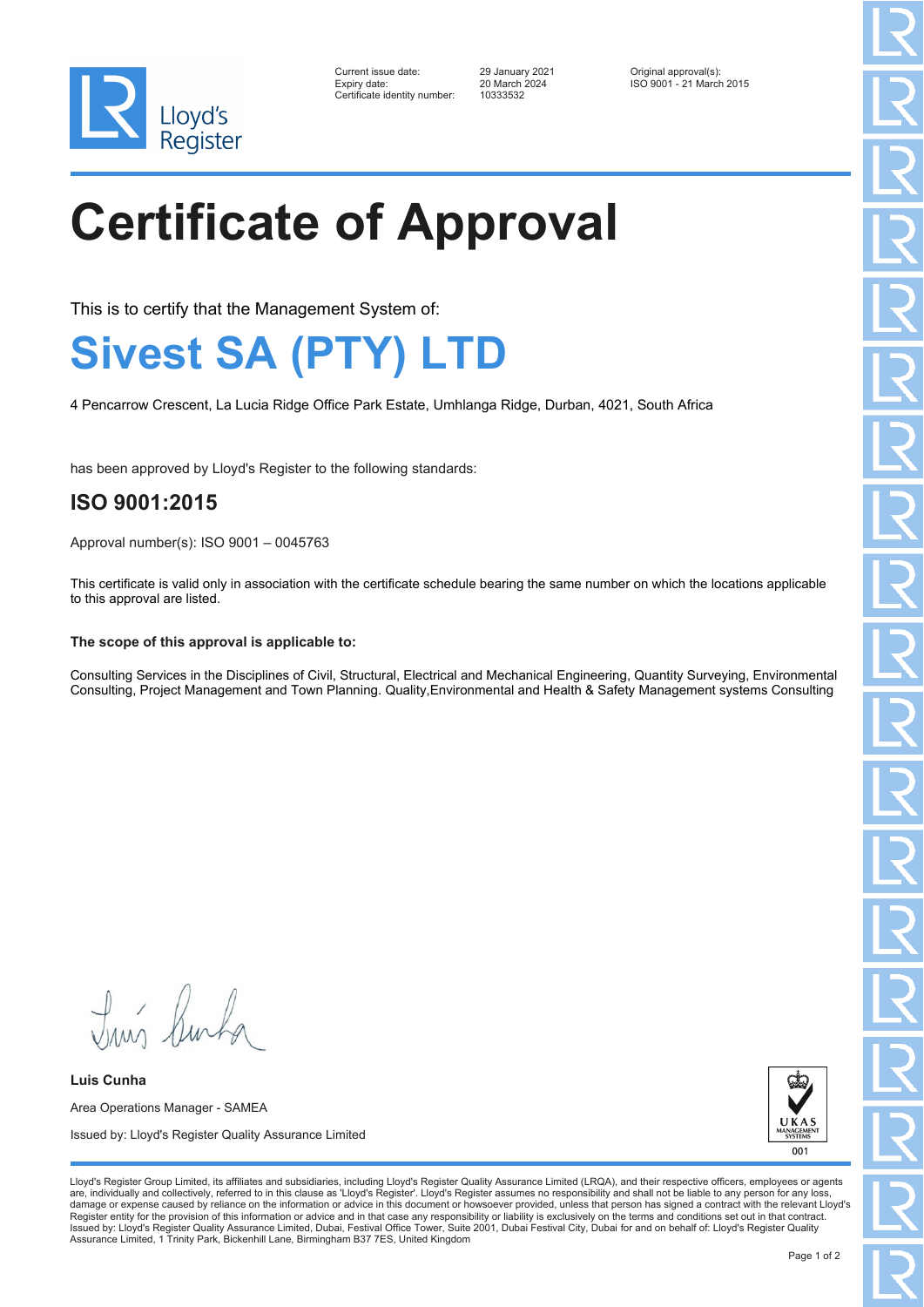

| Current issue date:         |
|-----------------------------|
| Expiry date:                |
| Certificate identitv number |

Certificate identity number: 10333532

Current issue date: 29 January 2021 Original approval(s): Expiry date: 20 March 2024 ISO 9001 - 21 March 2015

# **Certificate of Approval**

This is to certify that the Management System of:

### **Sivest SA (PTY) LTD**

4 Pencarrow Crescent, La Lucia Ridge Office Park Estate, Umhlanga Ridge, Durban, 4021, South Africa

has been approved by Lloyd's Register to the following standards:

### **ISO 9001:2015**

Approval number(s): ISO 9001 – 0045763

This certificate is valid only in association with the certificate schedule bearing the same number on which the locations applicable to this approval are listed.

#### **The scope of this approval is applicable to:**

Consulting Services in the Disciplines of Civil, Structural, Electrical and Mechanical Engineering, Quantity Surveying, Environmental Consulting, Project Management and Town Planning. Quality,Environmental and Health & Safety Management systems Consulting

Tun Burka

**Luis Cunha** Area Operations Manager - SAMEA Issued by: Lloyd's Register Quality Assurance Limited



Lloyd's Register Group Limited, its affiliates and subsidiaries, including Lloyd's Register Quality Assurance Limited (LRQA), and their respective officers, employees or agents are, individually and collectively, referred to in this clause as 'Lloyd's Register'. Lloyd's Register assumes no responsibility and shall not be liable to any person for any los damage or expense caused by reliance on the information or advice in this document or howsoever provided, unless that person has signed a contract with the relevant Lloyd's<br>Register entity for the provision of this informa Issued by: Lloyd's Register Quality Assurance Limited, Dubai, Festival Office Tower, Suite 2001, Dubai Festival City, Dubai for and on behalf of: Lloyd's Register Quality Assurance Limited, 1 Trinity Park, Bickenhill Lane, Birmingham B37 7ES, United Kingdom